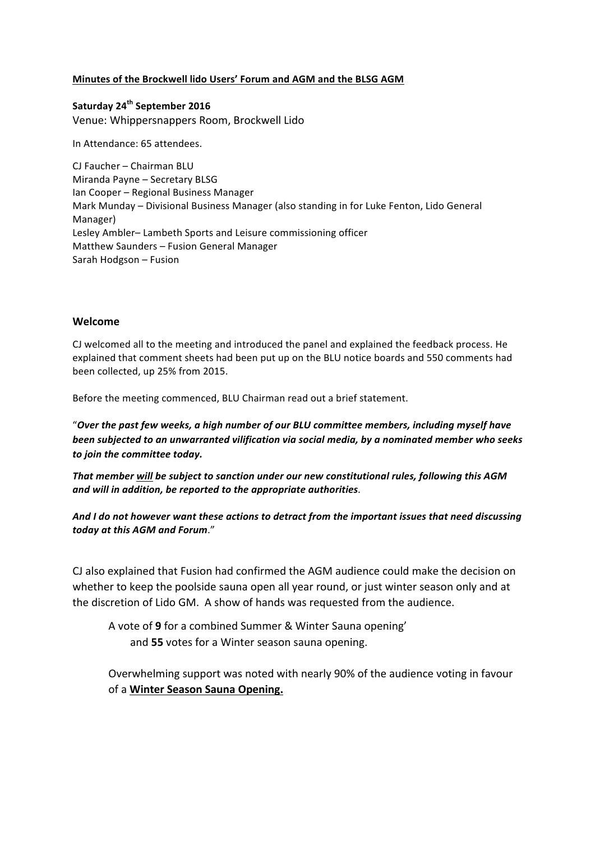#### **Minutes of the Brockwell lido Users' Forum and AGM and the BLSG AGM**

**Saturday 24th September 2016** Venue: Whippersnappers Room, Brockwell Lido

In Attendance: 65 attendees.

CJ Faucher - Chairman BLU Miranda Payne - Secretary BLSG Ian Cooper - Regional Business Manager Mark Munday – Divisional Business Manager (also standing in for Luke Fenton, Lido General Manager) Lesley Ambler-Lambeth Sports and Leisure commissioning officer Matthew Saunders - Fusion General Manager Sarah Hodgson - Fusion

#### **Welcome**

CJ welcomed all to the meeting and introduced the panel and explained the feedback process. He explained that comment sheets had been put up on the BLU notice boards and 550 comments had been collected, up 25% from 2015.

Before the meeting commenced, BLU Chairman read out a brief statement.

"Over the past few weeks, a high number of our BLU committee members, including myself have been subjected to an unwarranted vilification via social media, by a nominated member who seeks to join the committee today.

That member will be subject to sanction under our new constitutional rules, following this AGM *and will in addition, be reported to the appropriate authorities*.

And I do not however want these actions to detract from the important issues that need discussing *today at this AGM and Forum*."

CJ also explained that Fusion had confirmed the AGM audience could make the decision on whether to keep the poolside sauna open all year round, or just winter season only and at the discretion of Lido GM. A show of hands was requested from the audience.

A vote of 9 for a combined Summer & Winter Sauna opening' and 55 votes for a Winter season sauna opening.

Overwhelming support was noted with nearly 90% of the audience voting in favour of a **Winter Season Sauna Opening.**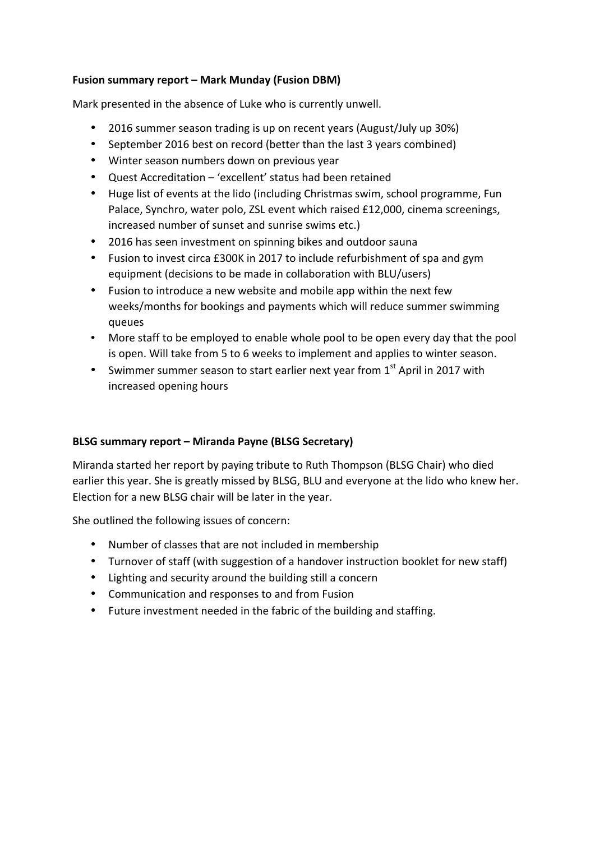## **Fusion summary report – Mark Munday (Fusion DBM)**

Mark presented in the absence of Luke who is currently unwell.

- 2016 summer season trading is up on recent years (August/July up 30%)
- September 2016 best on record (better than the last 3 years combined)
- Winter season numbers down on previous year
- Quest Accreditation 'excellent' status had been retained
- Huge list of events at the lido (including Christmas swim, school programme, Fun Palace, Synchro, water polo, ZSL event which raised £12,000, cinema screenings, increased number of sunset and sunrise swims etc.)
- 2016 has seen investment on spinning bikes and outdoor sauna
- Fusion to invest circa £300K in 2017 to include refurbishment of spa and gym equipment (decisions to be made in collaboration with BLU/users)
- Fusion to introduce a new website and mobile app within the next few weeks/months for bookings and payments which will reduce summer swimming queues
- More staff to be employed to enable whole pool to be open every day that the pool is open. Will take from 5 to 6 weeks to implement and applies to winter season.
- Swimmer summer season to start earlier next year from  $1<sup>st</sup>$  April in 2017 with increased opening hours

## **BLSG summary report – Miranda Payne (BLSG Secretary)**

Miranda started her report by paying tribute to Ruth Thompson (BLSG Chair) who died earlier this year. She is greatly missed by BLSG, BLU and everyone at the lido who knew her. Election for a new BLSG chair will be later in the year.

She outlined the following issues of concern:

- Number of classes that are not included in membership
- Turnover of staff (with suggestion of a handover instruction booklet for new staff)
- Lighting and security around the building still a concern
- Communication and responses to and from Fusion
- Future investment needed in the fabric of the building and staffing.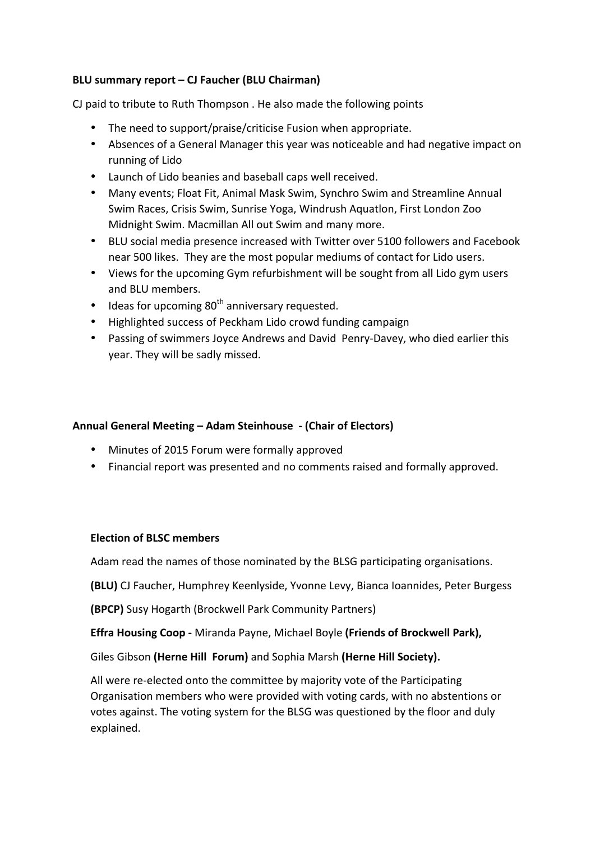## **BLU summary report – CJ Faucher (BLU Chairman)**

CJ paid to tribute to Ruth Thompson . He also made the following points

- The need to support/praise/criticise Fusion when appropriate.
- Absences of a General Manager this year was noticeable and had negative impact on running of Lido
- Launch of Lido beanies and baseball caps well received.
- Many events; Float Fit, Animal Mask Swim, Synchro Swim and Streamline Annual Swim Races, Crisis Swim, Sunrise Yoga, Windrush Aquatlon, First London Zoo Midnight Swim. Macmillan All out Swim and many more.
- BLU social media presence increased with Twitter over 5100 followers and Facebook near 500 likes. They are the most popular mediums of contact for Lido users.
- Views for the upcoming Gym refurbishment will be sought from all Lido gym users and BLU members.
- Ideas for upcoming  $80<sup>th</sup>$  anniversary requested.
- Highlighted success of Peckham Lido crowd funding campaign
- Passing of swimmers Joyce Andrews and David Penry-Davey, who died earlier this year. They will be sadly missed.

### Annual General Meeting – Adam Steinhouse - (Chair of Electors)

- Minutes of 2015 Forum were formally approved
- Financial report was presented and no comments raised and formally approved.

#### **Election of BLSC members**

Adam read the names of those nominated by the BLSG participating organisations.

**(BLU)** CJ Faucher, Humphrey Keenlyside, Yvonne Levy, Bianca Ioannides, Peter Burgess

**(BPCP)** Susy Hogarth (Brockwell Park Community Partners)

**Effra Housing Coop** - Miranda Payne, Michael Boyle (Friends of Brockwell Park),

Giles Gibson (Herne Hill Forum) and Sophia Marsh (Herne Hill Society).

All were re-elected onto the committee by majority vote of the Participating Organisation members who were provided with voting cards, with no abstentions or votes against. The voting system for the BLSG was questioned by the floor and duly explained.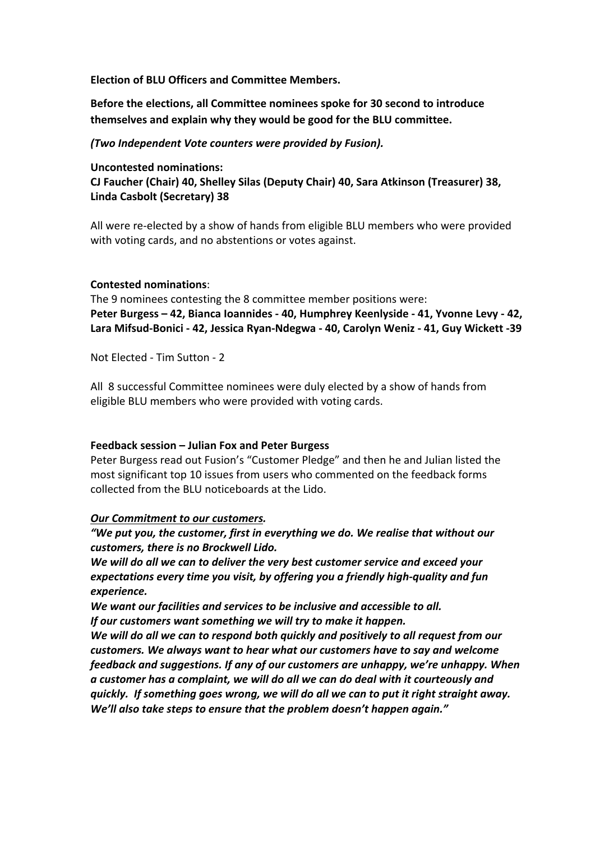**Election of BLU Officers and Committee Members.** 

Before the elections, all Committee nominees spoke for 30 second to introduce themselves and explain why they would be good for the BLU committee.

### *(Two Independent Vote counters were provided by Fusion).*

**Uncontested nominations:** 

**CJ Faucher (Chair) 40, Shelley Silas (Deputy Chair) 40, Sara Atkinson (Treasurer) 38, Linda Casbolt (Secretary) 38**

All were re-elected by a show of hands from eligible BLU members who were provided with voting cards, and no abstentions or votes against.

#### **Contested nominations**:

The 9 nominees contesting the 8 committee member positions were: **Peter Burgess – 42, Bianca Ioannides - 40, Humphrey Keenlyside - 41, Yvonne Levy - 42, Lara Mifsud-Bonici - 42, Jessica Ryan-Ndegwa - 40, Carolyn Weniz - 41, Guy Wickett -39**

Not Flected - Tim Sutton - 2

All 8 successful Committee nominees were duly elected by a show of hands from eligible BLU members who were provided with voting cards.

## **Feedback session – Julian Fox and Peter Burgess**

Peter Burgess read out Fusion's "Customer Pledge" and then he and Julian listed the most significant top 10 issues from users who commented on the feedback forms collected from the BLU noticeboards at the Lido.

#### **Our Commitment to our customers.**

"We put you, the customer, first in everything we do. We realise that without our *customers, there is no Brockwell Lido.*

We will do all we can to deliver the very best customer service and exceed your expectations every time you visit, by offering you a friendly high-quality and fun *experience.*

We want our facilities and services to be inclusive and accessible to all. *If our customers want something we will try to make it happen.* 

We will do all we can to respond both quickly and positively to all request from our *customers.* We always want to hear what our customers have to say and welcome *feedback and suggestions.* If any of our customers are unhappy, we're unhappy. When a customer has a complaint, we will do all we can do deal with it courteously and *quickly.* If something goes wrong, we will do all we can to put it right straight away. *We'll* also take steps to ensure that the problem doesn't happen again."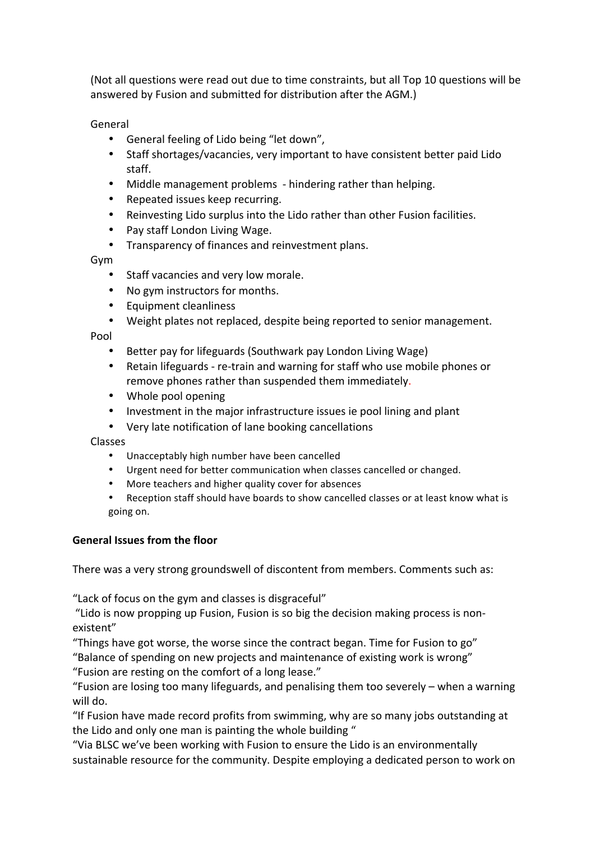(Not all questions were read out due to time constraints, but all Top 10 questions will be answered by Fusion and submitted for distribution after the AGM.)

General

- General feeling of Lido being "let down",
- Staff shortages/vacancies, very important to have consistent better paid Lido staff.
- Middle management problems hindering rather than helping.
- Repeated issues keep recurring.
- Reinvesting Lido surplus into the Lido rather than other Fusion facilities.
- Pay staff London Living Wage.
- Transparency of finances and reinvestment plans.

Gym

- Staff vacancies and very low morale.
- No gym instructors for months.
- Equipment cleanliness
- Weight plates not replaced, despite being reported to senior management.

Pool

- Better pay for lifeguards (Southwark pay London Living Wage)
- Retain lifeguards re-train and warning for staff who use mobile phones or remove phones rather than suspended them immediately.
- Whole pool opening
- Investment in the major infrastructure issues ie pool lining and plant
- Very late notification of lane booking cancellations

Classes

- Unacceptably high number have been cancelled
- Urgent need for better communication when classes cancelled or changed.
- More teachers and higher quality cover for absences
- Reception staff should have boards to show cancelled classes or at least know what is going on.

#### **General Issues from the floor**

There was a very strong groundswell of discontent from members. Comments such as:

"Lack of focus on the gym and classes is disgraceful"

"Lido is now propping up Fusion, Fusion is so big the decision making process is nonexistent"

"Things have got worse, the worse since the contract began. Time for Fusion to go" "Balance of spending on new projects and maintenance of existing work is wrong" "Fusion are resting on the comfort of a long lease."

"Fusion are losing too many lifeguards, and penalising them too severely  $-$  when a warning will do.

"If Fusion have made record profits from swimming, why are so many jobs outstanding at the Lido and only one man is painting the whole building "

"Via BLSC we've been working with Fusion to ensure the Lido is an environmentally sustainable resource for the community. Despite employing a dedicated person to work on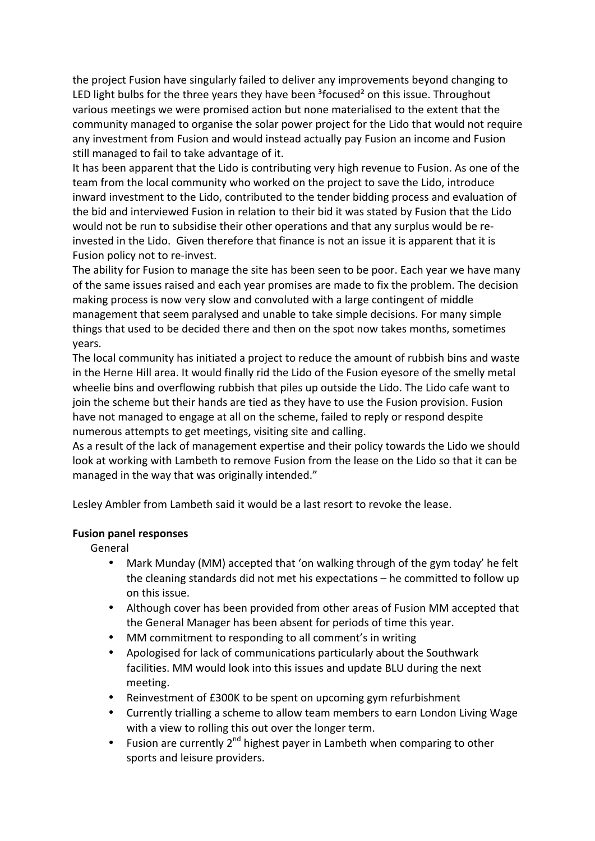the project Fusion have singularly failed to deliver any improvements beyond changing to LED light bulbs for the three years they have been  $3$ focused<sup>2</sup> on this issue. Throughout various meetings we were promised action but none materialised to the extent that the community managed to organise the solar power project for the Lido that would not require any investment from Fusion and would instead actually pay Fusion an income and Fusion still managed to fail to take advantage of it.

It has been apparent that the Lido is contributing very high revenue to Fusion. As one of the team from the local community who worked on the project to save the Lido, introduce inward investment to the Lido, contributed to the tender bidding process and evaluation of the bid and interviewed Fusion in relation to their bid it was stated by Fusion that the Lido would not be run to subsidise their other operations and that any surplus would be reinvested in the Lido. Given therefore that finance is not an issue it is apparent that it is Fusion policy not to re-invest.

The ability for Fusion to manage the site has been seen to be poor. Each year we have many of the same issues raised and each year promises are made to fix the problem. The decision making process is now very slow and convoluted with a large contingent of middle management that seem paralysed and unable to take simple decisions. For many simple things that used to be decided there and then on the spot now takes months, sometimes years. 

The local community has initiated a project to reduce the amount of rubbish bins and waste in the Herne Hill area. It would finally rid the Lido of the Fusion eyesore of the smelly metal wheelie bins and overflowing rubbish that piles up outside the Lido. The Lido cafe want to join the scheme but their hands are tied as they have to use the Fusion provision. Fusion have not managed to engage at all on the scheme, failed to reply or respond despite numerous attempts to get meetings, visiting site and calling.

As a result of the lack of management expertise and their policy towards the Lido we should look at working with Lambeth to remove Fusion from the lease on the Lido so that it can be managed in the way that was originally intended."

Lesley Ambler from Lambeth said it would be a last resort to revoke the lease.

#### **Fusion panel responses**

General

- Mark Munday (MM) accepted that 'on walking through of the gym today' he felt the cleaning standards did not met his expectations  $-$  he committed to follow up on this issue.
- Although cover has been provided from other areas of Fusion MM accepted that the General Manager has been absent for periods of time this year.
- MM commitment to responding to all comment's in writing
- Apologised for lack of communications particularly about the Southwark facilities. MM would look into this issues and update BLU during the next meeting.
- Reinvestment of £300K to be spent on upcoming gym refurbishment
- Currently trialling a scheme to allow team members to earn London Living Wage with a view to rolling this out over the longer term.
- Fusion are currently  $2^{nd}$  highest payer in Lambeth when comparing to other sports and leisure providers.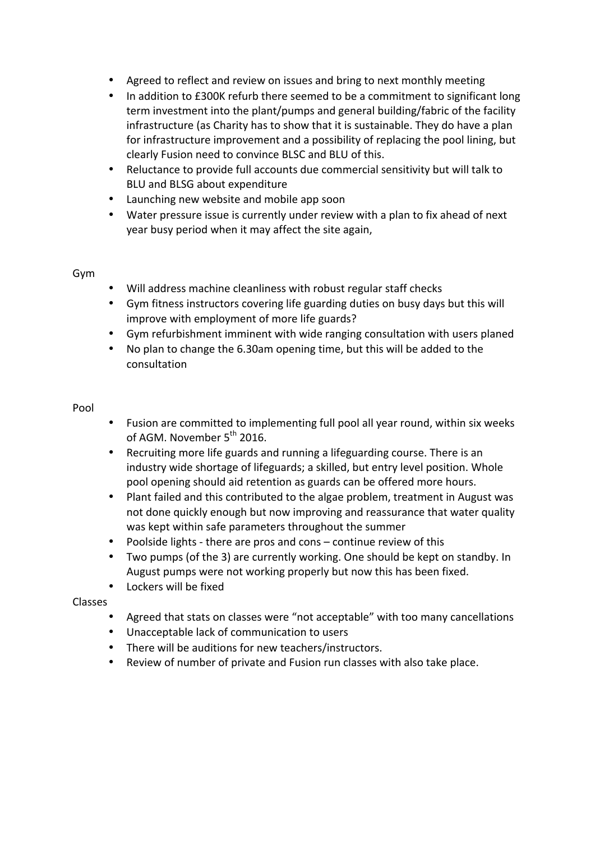- Agreed to reflect and review on issues and bring to next monthly meeting
- In addition to £300K refurb there seemed to be a commitment to significant long term investment into the plant/pumps and general building/fabric of the facility infrastructure (as Charity has to show that it is sustainable. They do have a plan for infrastructure improvement and a possibility of replacing the pool lining, but clearly Fusion need to convince BLSC and BLU of this.
- Reluctance to provide full accounts due commercial sensitivity but will talk to BLU and BLSG about expenditure
- Launching new website and mobile app soon
- Water pressure issue is currently under review with a plan to fix ahead of next year busy period when it may affect the site again,

#### Gym

- Will address machine cleanliness with robust regular staff checks
- Gym fitness instructors covering life guarding duties on busy days but this will improve with employment of more life guards?
- Gym refurbishment imminent with wide ranging consultation with users planed
- No plan to change the 6.30am opening time, but this will be added to the consultation

#### Pool

- Fusion are committed to implementing full pool all year round, within six weeks of AGM. November 5<sup>th</sup> 2016.
- Recruiting more life guards and running a lifeguarding course. There is an industry wide shortage of lifeguards; a skilled, but entry level position. Whole pool opening should aid retention as guards can be offered more hours.
- Plant failed and this contributed to the algae problem, treatment in August was not done quickly enough but now improving and reassurance that water quality was kept within safe parameters throughout the summer
- Poolside lights there are pros and  $\cos$  continue review of this
- Two pumps (of the 3) are currently working. One should be kept on standby. In August pumps were not working properly but now this has been fixed.
- Lockers will be fixed

## Classes

- Agreed that stats on classes were "not acceptable" with too many cancellations
- Unacceptable lack of communication to users
- There will be auditions for new teachers/instructors.
- Review of number of private and Fusion run classes with also take place.